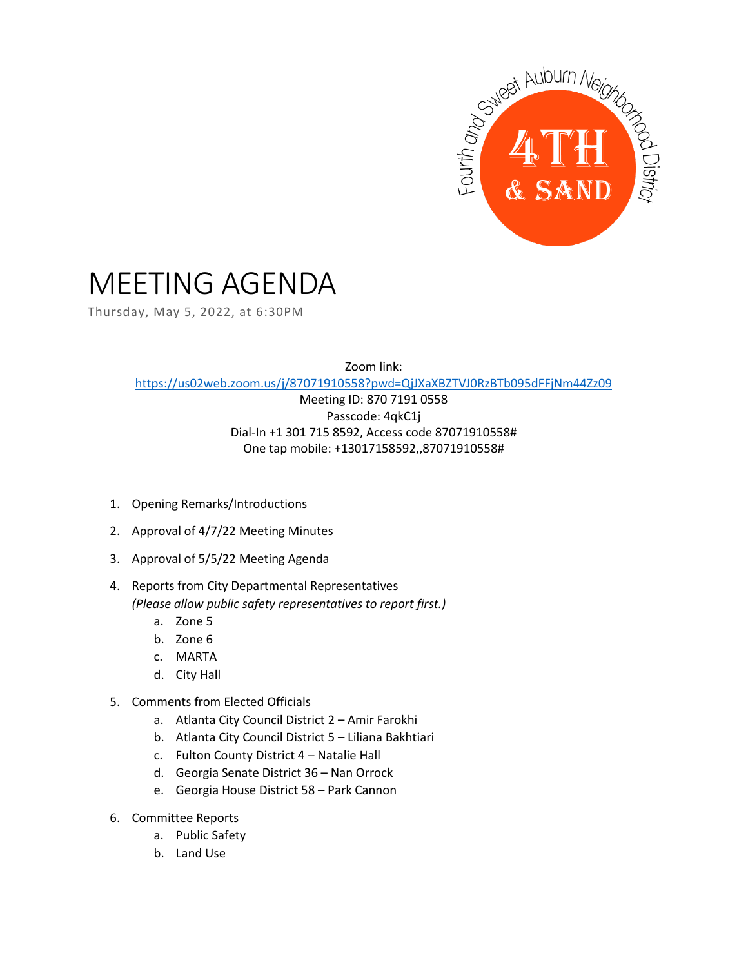

## MEETING AGENDA

Thursday, May 5, 2022, at 6:30PM

Zoom link: <https://us02web.zoom.us/j/87071910558?pwd=QjJXaXBZTVJ0RzBTb095dFFjNm44Zz09>

> Meeting ID: 870 7191 0558 Passcode: 4qkC1j Dial-In +1 301 715 8592, Access code 87071910558# One tap mobile: +13017158592,,87071910558#

- 1. Opening Remarks/Introductions
- 2. Approval of 4/7/22 Meeting Minutes
- 3. Approval of 5/5/22 Meeting Agenda
- 4. Reports from City Departmental Representatives *(Please allow public safety representatives to report first.)* 
	- a. Zone 5
	- b. Zone 6
	- c. MARTA
	- d. City Hall
- 5. Comments from Elected Officials
	- a. Atlanta City Council District 2 Amir Farokhi
	- b. Atlanta City Council District 5 Liliana Bakhtiari
	- c. Fulton County District 4 Natalie Hall
	- d. Georgia Senate District 36 Nan Orrock
	- e. Georgia House District 58 Park Cannon
- 6. Committee Reports
	- a. Public Safety
	- b. Land Use